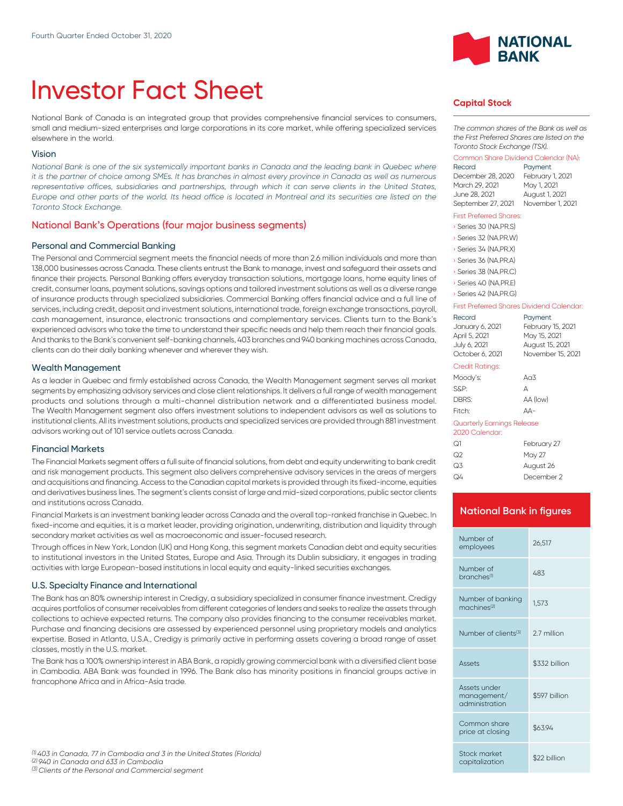# Investor Fact Sheet

National Bank of Canada is an integrated group that provides comprehensive financial services to consumers, small and medium-sized enterprises and large corporations in its core market, while offering specialized services elsewhere in the world.

#### Vision

*National Bank is one of the six systemically important banks in Canada and the leading bank in Quebec where it is the partner of choice among SMEs. It has branches in almost every province in Canada as well as numerous* representative offices, subsidiaries and partnerships, through which it can serve clients in the United States, *Europe and other parts of the world. Its head office is located in Montreal and its securities are listed on the Toronto Stock Exchange.*

#### National Bank's Operations (four major business segments)

#### Personal and Commercial Banking

The Personal and Commercial segment meets the financial needs of more than 2.6 million individuals and more than 138,000 businesses across Canada. These clients entrust the Bank to manage, invest and safeguard their assets and finance their projects. Personal Banking offers everyday transaction solutions, mortgage loans, home equity lines of credit, consumer loans, payment solutions, savings options and tailored investment solutions as well as a diverse range of insurance products through specialized subsidiaries. Commercial Banking offers financial advice and a full line of services, including credit, deposit and investment solutions, international trade, foreign exchange transactions, payroll, cash management, insurance, electronic transactions and complementary services. Clients turn to the Bank's experienced advisors who take the time to understand their specific needs and help them reach their financial goals. And thanks to the Bank's convenient self-banking channels, 403 branches and 940 banking machines across Canada, clients can do their daily banking whenever and wherever they wish.

#### Wealth Management

As a leader in Quebec and firmly established across Canada, the Wealth Management segment serves all market segments by emphasizing advisory services and close client relationships. lt delivers a full range of wealth management products and solutions through a multi-channel distribution network and a differentiated business model. The Wealth Management segment also offers investment solutions to independent advisors as well as solutions to institutional clients. All its investment solutions, products and specialized services are provided through 881 investment advisors working out of 101 service outlets across Canada.

#### Financial Markets

The Financial Markets segment offers a full suite of financial solutions, from debt and equity underwriting to bank credit and risk management products. This segment also delivers comprehensive advisory services in the areas of mergers and acquisitions and financing. Access to the Canadian capital markets is provided through its fixed-income, equities and derivatives business lines. The segment's clients consist of large and mid-sized corporations, public sector clients and institutions across Canada.

Financial Markets is an investment banking leader across Canada and the overall top-ranked franchise in Quebec. In fixed-income and equities, it is a market leader, providing origination, underwriting, distribution and liquidity through secondary market activities as well as macroeconomic and issuer-focused research.

Through offices in New York, London (UK) and Hong Kong, this segment markets Canadian debt and equity securities to institutional investors in the United States, Europe and Asia. Through its Dublin subsidiary, it engages in trading activities with large European-based institutions in local equity and equity-linked securities exchanges.

#### U.S. Specialty Finance and International

The Bank has an 80% ownership interest in Credigy, a subsidiary specialized in consumer finance investment. Credigy acquires portfolios of consumer receivables from different categories of lenders and seeks to realize the assets through collections to achieve expected returns. The company also provides financing to the consumer receivables market. Purchase and financing decisions are assessed by experienced personnel using proprietary models and analytics expertise. Based in Atlanta, U.S.A., Credigy is primarily active in performing assets covering a broad range of asset classes, mostly in the U.S. market.

The Bank has a 100% ownership interest in ABA Bank, a rapidly growing commercial bank with a diversified client base in Cambodia. ABA Bank was founded in 1996. The Bank also has minority positions in financial groups active in francophone Africa and in Africa-Asia trade.



### **Capital Stock**

*The common shares of the Bank as well as the First Preferred Shares are listed on the Toronto Stock Exchange (TSX).*

# Common Share Dividend Calendar (NA):

Payment December 28, 2020 February 1, 2021 March 29, 2021 June 28, 2021 August 1, 2021 September 27, 2021 November 1, 2021

#### First Preferred Shares:

| Series 30 (NA.PR.S)   |
|-----------------------|
| Series 32 (NA.PR.W)   |
| Series 34 (NA.PR.X)   |
| Series 36 (NA, PR, A) |
| Series 38 (NA, PR, C) |
| Series 40 (NA.PR.E)   |

› Series 42 (NA.PR.G)

#### First Preferred Shares Dividend Calendar:

| Record                                       | Payment           |  |
|----------------------------------------------|-------------------|--|
| January 6, 2021                              | February 15, 2021 |  |
| April 5, 2021                                | May 15, 2021      |  |
| July 6, 2021                                 | August 15, 2021   |  |
| October 6, 2021                              | November 15, 2021 |  |
| Credit Ratings:                              |                   |  |
| Moody's:                                     | An3               |  |
| S&P:                                         | А                 |  |
| DBRS:                                        | AA (low)          |  |
| Fitch:                                       | ΔД-               |  |
| Quarterly Earnings Release<br>2020 Calendar: |                   |  |

| February 27 |
|-------------|
| May 27      |
| August 26   |
| December 2  |
|             |

# **National Bank in figures**

| Number of<br>employees                        | 26.517        |  |
|-----------------------------------------------|---------------|--|
| Number of<br>branches <sup>(1)</sup>          | 483           |  |
| Number of banking<br>machines <sup>(2)</sup>  | 1.573         |  |
| Number of clients <sup>(3)</sup>              | 2.7 million   |  |
|                                               |               |  |
| <b>Assets</b>                                 | \$332 billion |  |
| Assets under<br>management/<br>administration | \$597 billion |  |
| Common share<br>price at closing              | \$63.94       |  |
| Stock market<br>capitalization                | \$22 billion  |  |